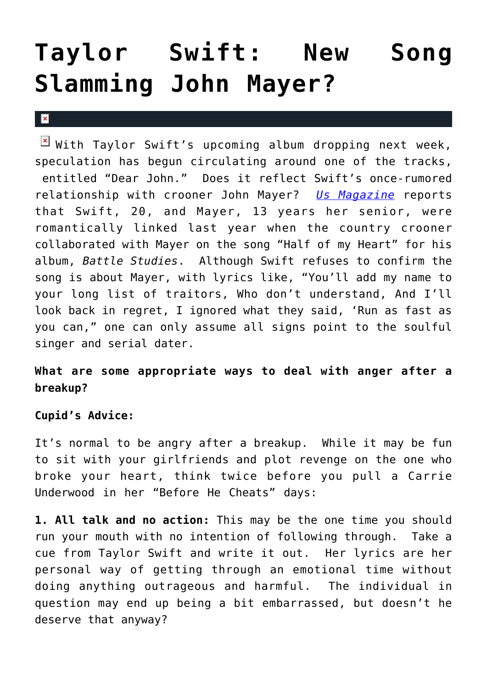## **[Taylor Swift: New Song](https://cupidspulse.com/5556/taylor-swift-new-song-slamming-john-mayer/) [Slamming John Mayer?](https://cupidspulse.com/5556/taylor-swift-new-song-slamming-john-mayer/)**

 $\mathbf{x}$ 

 $\mathbb{E}$  With Taylor Swift's upcoming album dropping next week, speculation has begun circulating around one of the tracks, entitled "Dear John." Does it reflect Swift's once-rumored relationship with crooner John Mayer? *[Us Magazine](http://www.usmagazine.com/celebritynews/news/does-taylor-swift-call-out-john-mayer-in-new-song-20101910)* reports that Swift, 20, and Mayer, 13 years her senior, were romantically linked last year when the country crooner collaborated with Mayer on the song "Half of my Heart" for his album, *Battle Studies*. Although Swift refuses to confirm the song is about Mayer, with lyrics like, "You'll add my name to your long list of traitors, Who don't understand, And I'll look back in regret, I ignored what they said, 'Run as fast as you can," one can only assume all signs point to the soulful singer and serial dater.

## **What are some appropriate ways to deal with anger after a breakup?**

## **Cupid's Advice:**

It's normal to be angry after a breakup. While it may be fun to sit with your girlfriends and plot revenge on the one who broke your heart, think twice before you pull a Carrie Underwood in her "Before He Cheats" days:

**1. All talk and no action:** This may be the one time you should run your mouth with no intention of following through. Take a cue from Taylor Swift and write it out. Her lyrics are her personal way of getting through an emotional time without doing anything outrageous and harmful. The individual in question may end up being a bit embarrassed, but doesn't he deserve that anyway?